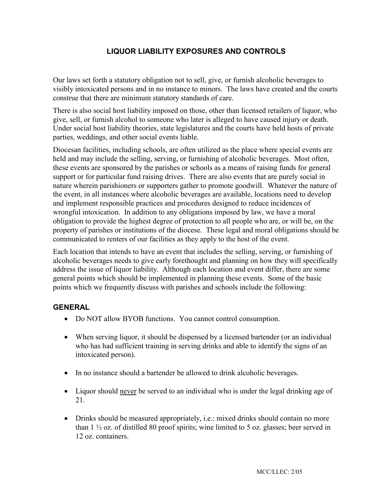# **LIQUOR LIABILITY EXPOSURES AND CONTROLS**

Our laws set forth a statutory obligation not to sell, give, or furnish alcoholic beverages to visibly intoxicated persons and in no instance to minors. The laws have created and the courts construe that there are minimum statutory standards of care.

There is also social host liability imposed on those, other than licensed retailers of liquor, who give, sell, or furnish alcohol to someone who later is alleged to have caused injury or death. Under social host liability theories, state legislatures and the courts have held hosts of private parties, weddings, and other social events liable.

Diocesan facilities, including schools, are often utilized as the place where special events are held and may include the selling, serving, or furnishing of alcoholic beverages. Most often, these events are sponsored by the parishes or schools as a means of raising funds for general support or for particular fund raising drives. There are also events that are purely social in nature wherein parishioners or supporters gather to promote goodwill. Whatever the nature of the event, in all instances where alcoholic beverages are available, locations need to develop and implement responsible practices and procedures designed to reduce incidences of wrongful intoxication. In addition to any obligations imposed by law, we have a moral obligation to provide the highest degree of protection to all people who are, or will be, on the property of parishes or institutions of the diocese. These legal and moral obligations should be communicated to renters of our facilities as they apply to the host of the event.

Each location that intends to have an event that includes the selling, serving, or furnishing of alcoholic beverages needs to give early forethought and planning on how they will specifically address the issue of liquor liability. Although each location and event differ, there are some general points which should be implemented in planning these events. Some of the basic points which we frequently discuss with parishes and schools include the following:

#### **GENERAL**

- Do NOT allow BYOB functions. You cannot control consumption.
- When serving liquor, it should be dispensed by a licensed bartender (or an individual who has had sufficient training in serving drinks and able to identify the signs of an intoxicated person).
- In no instance should a bartender be allowed to drink alcoholic beverages.
- Liquor should never be served to an individual who is under the legal drinking age of 21.
- Drinks should be measured appropriately, i.e.: mixed drinks should contain no more than  $1\frac{1}{2}$  oz. of distilled 80 proof spirits; wine limited to 5 oz. glasses; beer served in 12 oz. containers.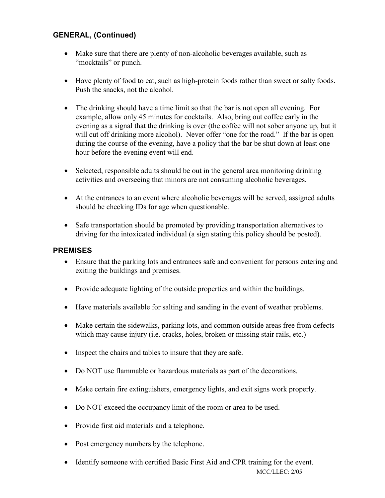## **GENERAL, (Continued)**

- Make sure that there are plenty of non-alcoholic beverages available, such as "mocktails" or punch.
- Have plenty of food to eat, such as high-protein foods rather than sweet or salty foods. Push the snacks, not the alcohol.
- The drinking should have a time limit so that the bar is not open all evening. For example, allow only 45 minutes for cocktails. Also, bring out coffee early in the evening as a signal that the drinking is over (the coffee will not sober anyone up, but it will cut off drinking more alcohol). Never offer "one for the road." If the bar is open during the course of the evening, have a policy that the bar be shut down at least one hour before the evening event will end.
- Selected, responsible adults should be out in the general area monitoring drinking activities and overseeing that minors are not consuming alcoholic beverages.
- At the entrances to an event where alcoholic beverages will be served, assigned adults should be checking IDs for age when questionable.
- Safe transportation should be promoted by providing transportation alternatives to driving for the intoxicated individual (a sign stating this policy should be posted).

### **PREMISES**

- Ensure that the parking lots and entrances safe and convenient for persons entering and exiting the buildings and premises.
- Provide adequate lighting of the outside properties and within the buildings.
- Have materials available for salting and sanding in the event of weather problems.
- Make certain the sidewalks, parking lots, and common outside areas free from defects which may cause injury (i.e. cracks, holes, broken or missing stair rails, etc.)
- Inspect the chairs and tables to insure that they are safe.
- Do NOT use flammable or hazardous materials as part of the decorations.
- Make certain fire extinguishers, emergency lights, and exit signs work properly.
- Do NOT exceed the occupancy limit of the room or area to be used.
- Provide first aid materials and a telephone.
- Post emergency numbers by the telephone.
- MCC/LLEC: 2/05 • Identify someone with certified Basic First Aid and CPR training for the event.